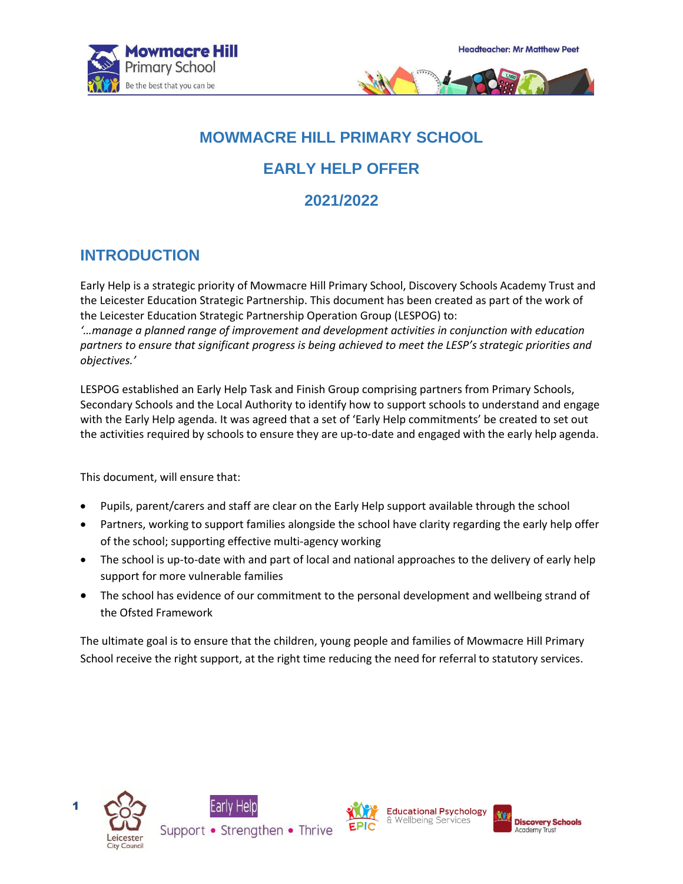



# **MOWMACRE HILL PRIMARY SCHOOL**

### **EARLY HELP OFFER**

### **2021/2022**

### **INTRODUCTION**

Early Help is a strategic priority of Mowmacre Hill Primary School, Discovery Schools Academy Trust and the Leicester Education Strategic Partnership. This document has been created as part of the work of the Leicester Education Strategic Partnership Operation Group (LESPOG) to: *'…manage a planned range of improvement and development activities in conjunction with education partners to ensure that significant progress is being achieved to meet the LESP's strategic priorities and objectives.'*

LESPOG established an Early Help Task and Finish Group comprising partners from Primary Schools, Secondary Schools and the Local Authority to identify how to support schools to understand and engage with the Early Help agenda. It was agreed that a set of 'Early Help commitments' be created to set out the activities required by schools to ensure they are up-to-date and engaged with the early help agenda.

This document, will ensure that:

- Pupils, parent/carers and staff are clear on the Early Help support available through the school
- Partners, working to support families alongside the school have clarity regarding the early help offer of the school; supporting effective multi-agency working
- The school is up-to-date with and part of local and national approaches to the delivery of early help support for more vulnerable families
- The school has evidence of our commitment to the personal development and wellbeing strand of the Ofsted Framework

The ultimate goal is to ensure that the children, young people and families of Mowmacre Hill Primary School receive the right support, at the right time reducing the need for referral to statutory services.





**Discovery Schools Academy Trust**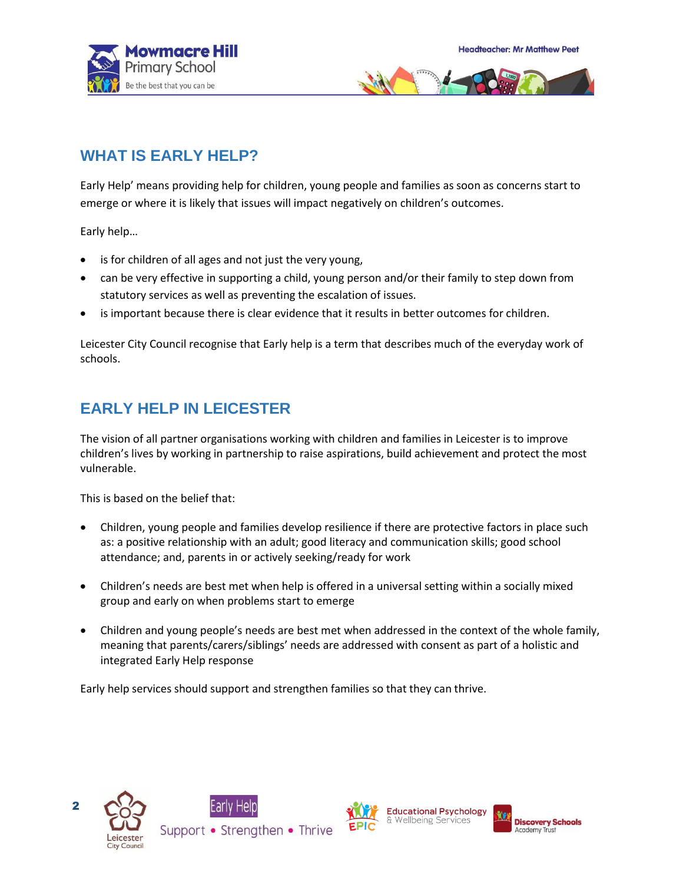



### **WHAT IS EARLY HELP?**

Early Help' means providing help for children, young people and families as soon as concerns start to emerge or where it is likely that issues will impact negatively on children's outcomes.

Early help…

- is for children of all ages and not just the very young,
- can be very effective in supporting a child, young person and/or their family to step down from statutory services as well as preventing the escalation of issues.
- is important because there is clear evidence that it results in better outcomes for children.

Leicester City Council recognise that Early help is a term that describes much of the everyday work of schools.

### **EARLY HELP IN LEICESTER**

The vision of all partner organisations working with children and families in Leicester is to improve children's lives by working in partnership to raise aspirations, build achievement and protect the most vulnerable.

This is based on the belief that:

- Children, young people and families develop resilience if there are protective factors in place such as: a positive relationship with an adult; good literacy and communication skills; good school attendance; and, parents in or actively seeking/ready for work
- Children's needs are best met when help is offered in a universal setting within a socially mixed group and early on when problems start to emerge
- Children and young people's needs are best met when addressed in the context of the whole family, meaning that parents/carers/siblings' needs are addressed with consent as part of a holistic and integrated Early Help response

Early help services should support and strengthen families so that they can thrive.



2





**Educational Psychology** & Wellbeing Services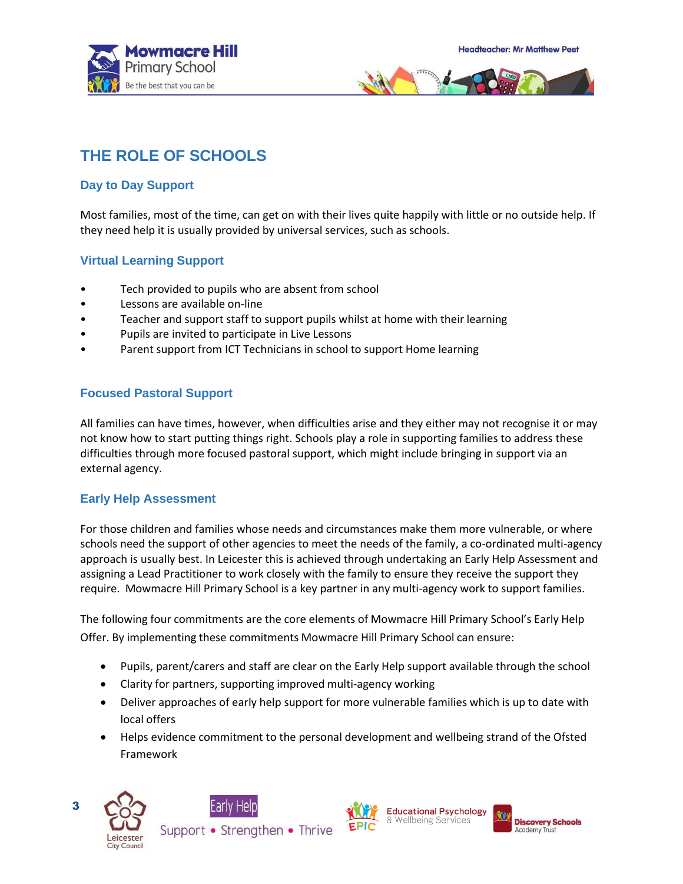



## **THE ROLE OF SCHOOLS**

#### **Day to Day Support**

Most families, most of the time, can get on with their lives quite happily with little or no outside help. If they need help it is usually provided by universal services, such as schools.

#### **Virtual Learning Support**

- Tech provided to pupils who are absent from school
- Lessons are available on-line
- Teacher and support staff to support pupils whilst at home with their learning
- Pupils are invited to participate in Live Lessons
- Parent support from ICT Technicians in school to support Home learning

#### **Focused Pastoral Support**

All families can have times, however, when difficulties arise and they either may not recognise it or may not know how to start putting things right. Schools play a role in supporting families to address these difficulties through more focused pastoral support, which might include bringing in support via an external agency.

#### **Early Help Assessment**

For those children and families whose needs and circumstances make them more vulnerable, or where schools need the support of other agencies to meet the needs of the family, a co-ordinated multi-agency approach is usually best. In Leicester this is achieved through undertaking an Early Help Assessment and assigning a Lead Practitioner to work closely with the family to ensure they receive the support they require. Mowmacre Hill Primary School is a key partner in any multi-agency work to support families.

The following four commitments are the core elements of Mowmacre Hill Primary School's Early Help Offer. By implementing these commitments Mowmacre Hill Primary School can ensure:

- Pupils, parent/carers and staff are clear on the Early Help support available through the school
- Clarity for partners, supporting improved multi-agency working
- Deliver approaches of early help support for more vulnerable families which is up to date with local offers
- Helps evidence commitment to the personal development and wellbeing strand of the Ofsted Framework







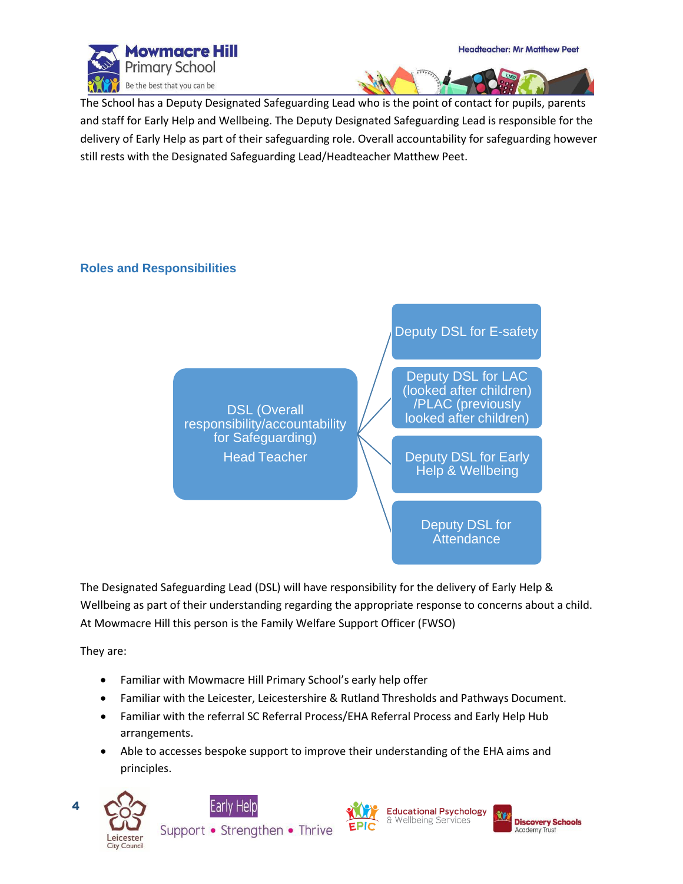



The School has a Deputy Designated Safeguarding Lead who is the point of contact for pupils, parents and staff for Early Help and Wellbeing. The Deputy Designated Safeguarding Lead is responsible for the delivery of Early Help as part of their safeguarding role. Overall accountability for safeguarding however still rests with the Designated Safeguarding Lead/Headteacher Matthew Peet.

#### **Roles and Responsibilities**

Deputy DSL for E-safety DSL (Overall responsibility/accountability for Safeguarding) Head Teacher Deputy DSL for LAC (looked after children) /PLAC (previously looked after children) Deputy DSL for Early Help & Wellbeing Deputy DSL for **Attendance** 

The Designated Safeguarding Lead (DSL) will have responsibility for the delivery of Early Help & Wellbeing as part of their understanding regarding the appropriate response to concerns about a child. At Mowmacre Hill this person is the Family Welfare Support Officer (FWSO)

They are:

- Familiar with Mowmacre Hill Primary School's early help offer
- Familiar with the Leicester, Leicestershire & Rutland Thresholds and Pathways Document.
- Familiar with the referral SC Referral Process/EHA [Referral](https://www.leicester.gov.uk/schools-and-learning/support-for-children-and-young-people/early-help/referral-for-early-help-assessment/) Process and Early Help Hub arrangements.
- Able to accesses bespoke support to improve their understanding of the EHA aims and principles.





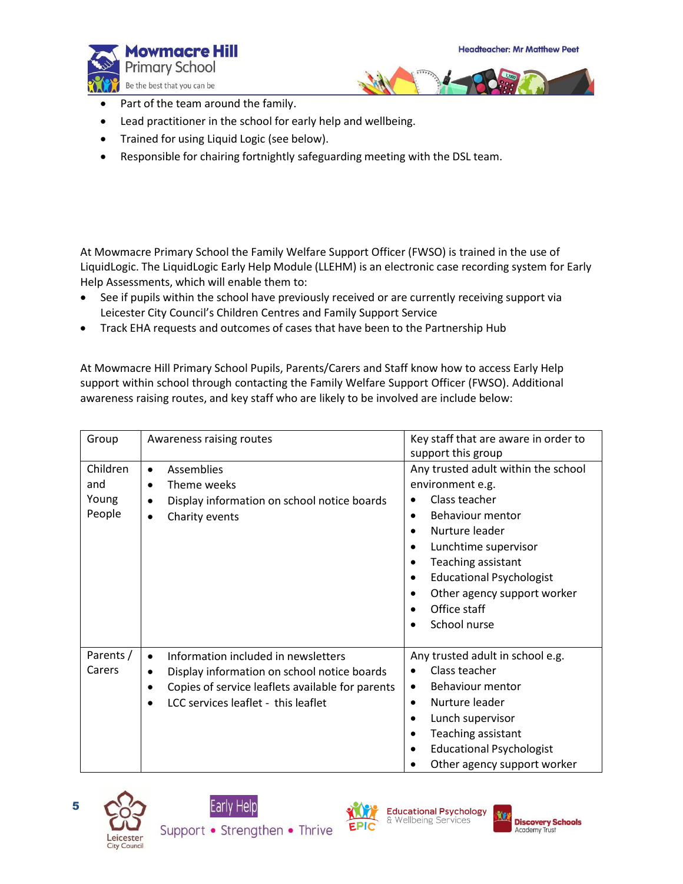



- Part of the team around the family.
- Lead practitioner in the school for early help and wellbeing.
- Trained for using Liquid Logic (see below).
- Responsible for chairing fortnightly safeguarding meeting with the DSL team.

At Mowmacre Primary School the Family Welfare Support Officer (FWSO) is trained in the use of LiquidLogic. The LiquidLogic Early Help Module (LLEHM) is an electronic case recording system for Early Help Assessments, which will enable them to:

- See if pupils within the school have previously received or are currently receiving support via Leicester City Council's Children Centres and Family Support Service
- Track EHA requests and outcomes of cases that have been to the Partnership Hub

At Mowmacre Hill Primary School Pupils, Parents/Carers and Staff know how to access Early Help support within school through contacting the Family Welfare Support Officer (FWSO). Additional awareness raising routes, and key staff who are likely to be involved are include below:

| Group                              | Awareness raising routes                                                                                                                                                                                             | Key staff that are aware in order to<br>support this group                                                                                                                                                                                                                                                                             |
|------------------------------------|----------------------------------------------------------------------------------------------------------------------------------------------------------------------------------------------------------------------|----------------------------------------------------------------------------------------------------------------------------------------------------------------------------------------------------------------------------------------------------------------------------------------------------------------------------------------|
| Children<br>and<br>Young<br>People | <b>Assemblies</b><br>$\bullet$<br>Theme weeks<br>$\bullet$<br>Display information on school notice boards<br>Charity events<br>$\bullet$                                                                             | Any trusted adult within the school<br>environment e.g.<br>Class teacher<br><b>Behaviour mentor</b><br>$\bullet$<br>Nurture leader<br>$\bullet$<br>Lunchtime supervisor<br>$\bullet$<br>Teaching assistant<br>$\bullet$<br><b>Educational Psychologist</b><br>$\bullet$<br>Other agency support worker<br>Office staff<br>School nurse |
| Parents /<br>Carers                | Information included in newsletters<br>$\bullet$<br>Display information on school notice boards<br>$\bullet$<br>Copies of service leaflets available for parents<br>$\bullet$<br>LCC services leaflet - this leaflet | Any trusted adult in school e.g.<br>Class teacher<br>$\bullet$<br>Behaviour mentor<br>$\bullet$<br>Nurture leader<br>$\bullet$<br>Lunch supervisor<br>$\bullet$<br>Teaching assistant<br>$\bullet$<br><b>Educational Psychologist</b><br>Other agency support worker                                                                   |



5





**Educational Psychology** & Wellbeing Services

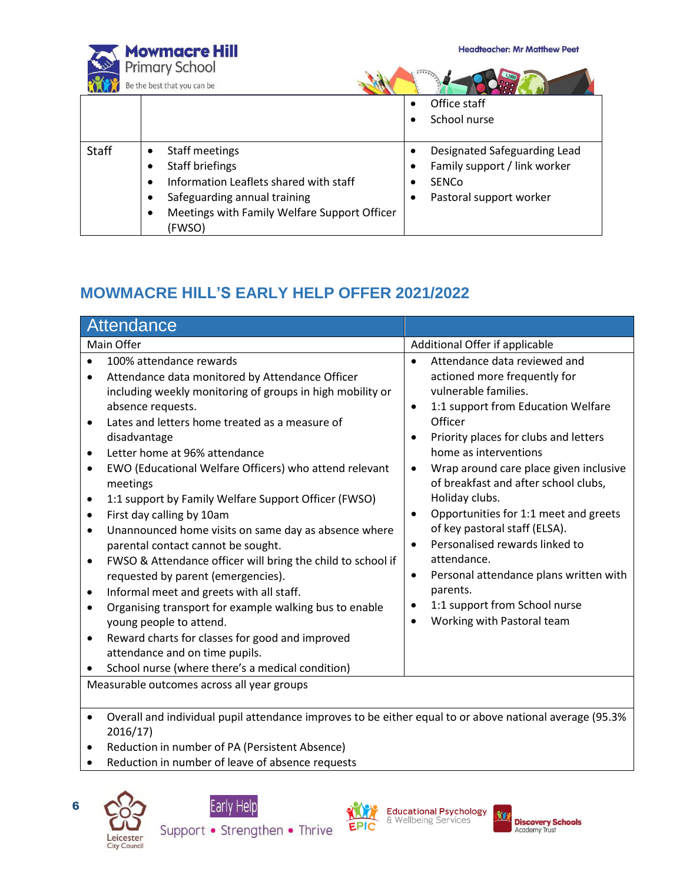

**Headteacher: Mr Matthew Peet** 

| $\sim$ | <b>Primary Scribol</b><br>Be the best that you can be     |                                   |
|--------|-----------------------------------------------------------|-----------------------------------|
|        |                                                           | Office staff<br>$\bullet$         |
|        |                                                           | School nurse                      |
|        |                                                           |                                   |
| Staff  | Staff meetings                                            | Designated Safeguarding Lead<br>٠ |
|        | Staff briefings<br>٠                                      | Family support / link worker      |
|        | Information Leaflets shared with staff<br>٠               | <b>SENCO</b>                      |
|        | Safeguarding annual training<br>٠                         | Pastoral support worker           |
|        | Meetings with Family Welfare Support Officer<br>$\bullet$ |                                   |
|        | (FWSO)                                                    |                                   |

# **MOWMACRE HILL'S EARLY HELP OFFER 2021/2022**

| <b>Attendance</b>                                                                                                                                                                                                                                                                                                                                                                                                                                                                                                                                                                                                                                                                                                                                                                                                                                                                                                                                                                                                                                                                                    |                                                                                                                                                                                                                                                                                                                                                                                                                                                                                                                                                                                                                                                        |  |
|------------------------------------------------------------------------------------------------------------------------------------------------------------------------------------------------------------------------------------------------------------------------------------------------------------------------------------------------------------------------------------------------------------------------------------------------------------------------------------------------------------------------------------------------------------------------------------------------------------------------------------------------------------------------------------------------------------------------------------------------------------------------------------------------------------------------------------------------------------------------------------------------------------------------------------------------------------------------------------------------------------------------------------------------------------------------------------------------------|--------------------------------------------------------------------------------------------------------------------------------------------------------------------------------------------------------------------------------------------------------------------------------------------------------------------------------------------------------------------------------------------------------------------------------------------------------------------------------------------------------------------------------------------------------------------------------------------------------------------------------------------------------|--|
| Main Offer                                                                                                                                                                                                                                                                                                                                                                                                                                                                                                                                                                                                                                                                                                                                                                                                                                                                                                                                                                                                                                                                                           | Additional Offer if applicable                                                                                                                                                                                                                                                                                                                                                                                                                                                                                                                                                                                                                         |  |
| 100% attendance rewards<br>Attendance data monitored by Attendance Officer<br>$\bullet$<br>including weekly monitoring of groups in high mobility or<br>absence requests.<br>Lates and letters home treated as a measure of<br>$\bullet$<br>disadvantage<br>Letter home at 96% attendance<br>$\bullet$<br>EWO (Educational Welfare Officers) who attend relevant<br>$\bullet$<br>meetings<br>1:1 support by Family Welfare Support Officer (FWSO)<br>$\bullet$<br>First day calling by 10am<br>$\bullet$<br>Unannounced home visits on same day as absence where<br>$\bullet$<br>parental contact cannot be sought.<br>FWSO & Attendance officer will bring the child to school if<br>$\bullet$<br>requested by parent (emergencies).<br>Informal meet and greets with all staff.<br>$\bullet$<br>Organising transport for example walking bus to enable<br>$\bullet$<br>young people to attend.<br>Reward charts for classes for good and improved<br>$\bullet$<br>attendance and on time pupils.<br>School nurse (where there's a medical condition)<br>Measurable outcomes across all year groups | Attendance data reviewed and<br>$\bullet$<br>actioned more frequently for<br>vulnerable families.<br>1:1 support from Education Welfare<br>$\bullet$<br>Officer<br>Priority places for clubs and letters<br>home as interventions<br>Wrap around care place given inclusive<br>$\bullet$<br>of breakfast and after school clubs,<br>Holiday clubs.<br>Opportunities for 1:1 meet and greets<br>$\bullet$<br>of key pastoral staff (ELSA).<br>Personalised rewards linked to<br>$\bullet$<br>attendance.<br>Personal attendance plans written with<br>$\bullet$<br>parents.<br>1:1 support from School nurse<br>$\bullet$<br>Working with Pastoral team |  |
| Overall and individual pupil attendance improves to be either equal to or above national average (95.3%<br>$\bullet$<br>2016/17                                                                                                                                                                                                                                                                                                                                                                                                                                                                                                                                                                                                                                                                                                                                                                                                                                                                                                                                                                      |                                                                                                                                                                                                                                                                                                                                                                                                                                                                                                                                                                                                                                                        |  |

- Reduction in number of PA (Persistent Absence)
- Reduction in number of leave of absence requests



6





**Educational Psychology**<br>& Wellbeing Services

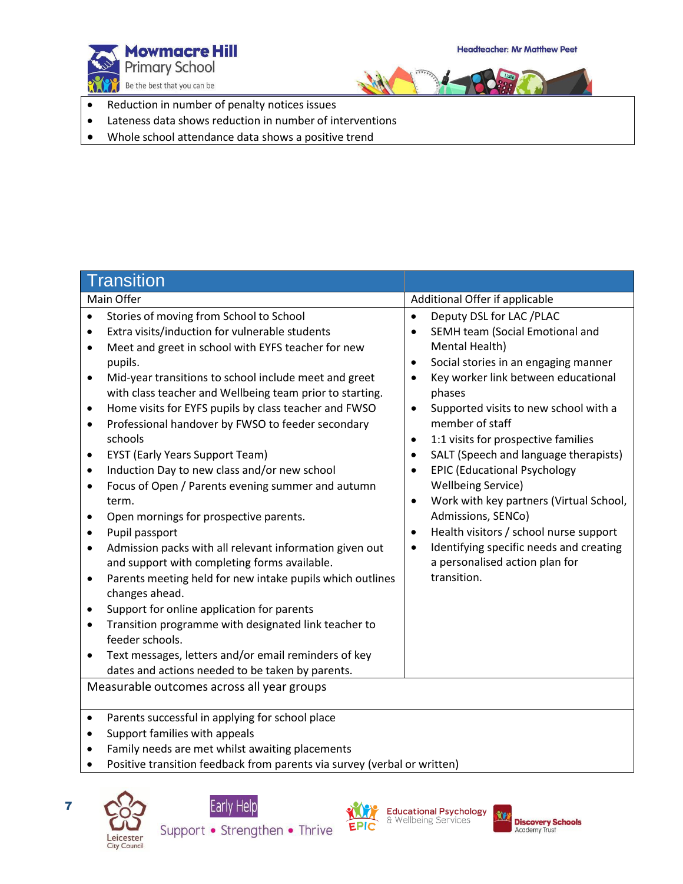**YOU** 

**Discovery Schools**<br>Academy Trust





- Reduction in number of penalty notices issues
- Lateness data shows reduction in number of interventions
- Whole school attendance data shows a positive trend

| <b>Transition</b>                                                                                                                                                                                                                                                                                                                                                                                                                                                                                                                                                                                                                                                                                                                                                                                                                                                                                                                                                                                                                                                                                                                                                                                                                                                                                                         |                                                                                                                                                                                                                                                                                                                                                                                                                                                                                                                                                                                                                                                                                                                                              |  |
|---------------------------------------------------------------------------------------------------------------------------------------------------------------------------------------------------------------------------------------------------------------------------------------------------------------------------------------------------------------------------------------------------------------------------------------------------------------------------------------------------------------------------------------------------------------------------------------------------------------------------------------------------------------------------------------------------------------------------------------------------------------------------------------------------------------------------------------------------------------------------------------------------------------------------------------------------------------------------------------------------------------------------------------------------------------------------------------------------------------------------------------------------------------------------------------------------------------------------------------------------------------------------------------------------------------------------|----------------------------------------------------------------------------------------------------------------------------------------------------------------------------------------------------------------------------------------------------------------------------------------------------------------------------------------------------------------------------------------------------------------------------------------------------------------------------------------------------------------------------------------------------------------------------------------------------------------------------------------------------------------------------------------------------------------------------------------------|--|
| Main Offer                                                                                                                                                                                                                                                                                                                                                                                                                                                                                                                                                                                                                                                                                                                                                                                                                                                                                                                                                                                                                                                                                                                                                                                                                                                                                                                | Additional Offer if applicable                                                                                                                                                                                                                                                                                                                                                                                                                                                                                                                                                                                                                                                                                                               |  |
| Stories of moving from School to School<br>$\bullet$<br>Extra visits/induction for vulnerable students<br>$\bullet$<br>Meet and greet in school with EYFS teacher for new<br>$\bullet$<br>pupils.<br>Mid-year transitions to school include meet and greet<br>$\bullet$<br>with class teacher and Wellbeing team prior to starting.<br>Home visits for EYFS pupils by class teacher and FWSO<br>$\bullet$<br>Professional handover by FWSO to feeder secondary<br>$\bullet$<br>schools<br><b>EYST (Early Years Support Team)</b><br>$\bullet$<br>Induction Day to new class and/or new school<br>$\bullet$<br>Focus of Open / Parents evening summer and autumn<br>$\bullet$<br>term.<br>Open mornings for prospective parents.<br>$\bullet$<br>Pupil passport<br>$\bullet$<br>Admission packs with all relevant information given out<br>$\bullet$<br>and support with completing forms available.<br>Parents meeting held for new intake pupils which outlines<br>$\bullet$<br>changes ahead.<br>Support for online application for parents<br>$\bullet$<br>Transition programme with designated link teacher to<br>$\bullet$<br>feeder schools.<br>Text messages, letters and/or email reminders of key<br>$\bullet$<br>dates and actions needed to be taken by parents.<br>Measurable outcomes across all year groups | Deputy DSL for LAC /PLAC<br>$\bullet$<br>SEMH team (Social Emotional and<br>$\bullet$<br>Mental Health)<br>Social stories in an engaging manner<br>$\bullet$<br>Key worker link between educational<br>$\bullet$<br>phases<br>Supported visits to new school with a<br>$\bullet$<br>member of staff<br>1:1 visits for prospective families<br>$\bullet$<br>SALT (Speech and language therapists)<br>$\bullet$<br><b>EPIC (Educational Psychology</b><br>$\bullet$<br><b>Wellbeing Service)</b><br>Work with key partners (Virtual School,<br>$\bullet$<br>Admissions, SENCo)<br>Health visitors / school nurse support<br>$\bullet$<br>Identifying specific needs and creating<br>$\bullet$<br>a personalised action plan for<br>transition. |  |
| Parents successful in applying for school place<br>$\bullet$<br>Support families with appeals<br>$\bullet$<br>Family needs are met whilst awaiting placements<br>$\bullet$                                                                                                                                                                                                                                                                                                                                                                                                                                                                                                                                                                                                                                                                                                                                                                                                                                                                                                                                                                                                                                                                                                                                                |                                                                                                                                                                                                                                                                                                                                                                                                                                                                                                                                                                                                                                                                                                                                              |  |
| Positive transition feedback from parents via survey (verbal or written)                                                                                                                                                                                                                                                                                                                                                                                                                                                                                                                                                                                                                                                                                                                                                                                                                                                                                                                                                                                                                                                                                                                                                                                                                                                  |                                                                                                                                                                                                                                                                                                                                                                                                                                                                                                                                                                                                                                                                                                                                              |  |





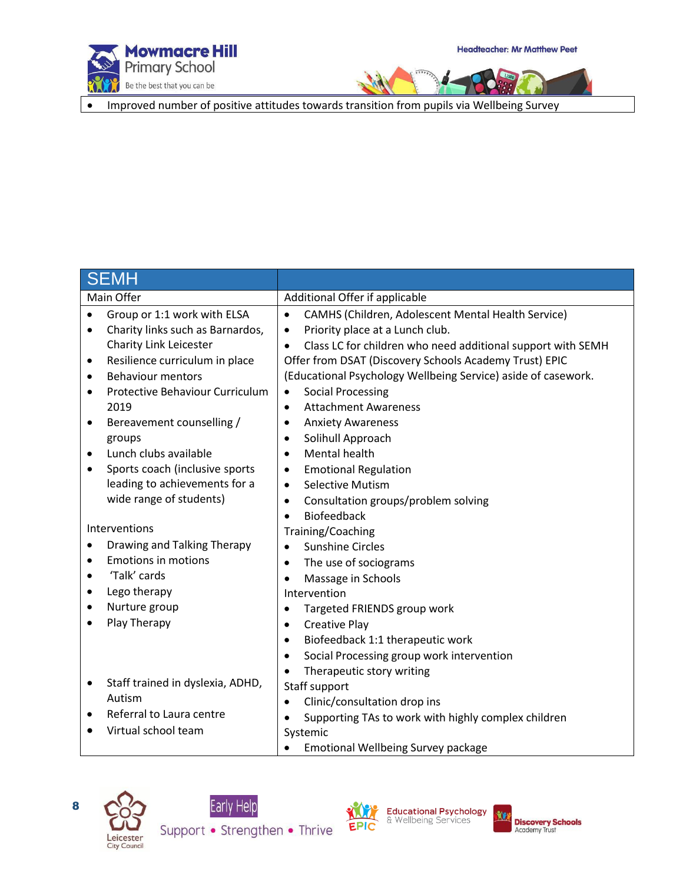



• Improved number of positive attitudes towards transition from pupils via Wellbeing Survey

| <b>SEMH</b> |                                  |                                                                          |
|-------------|----------------------------------|--------------------------------------------------------------------------|
| Main Offer  |                                  | Additional Offer if applicable                                           |
| $\bullet$   | Group or 1:1 work with ELSA      | CAMHS (Children, Adolescent Mental Health Service)<br>$\bullet$          |
| $\bullet$   | Charity links such as Barnardos, | Priority place at a Lunch club.<br>$\bullet$                             |
|             | Charity Link Leicester           | Class LC for children who need additional support with SEMH<br>$\bullet$ |
| ٠           | Resilience curriculum in place   | Offer from DSAT (Discovery Schools Academy Trust) EPIC                   |
| $\bullet$   | <b>Behaviour mentors</b>         | (Educational Psychology Wellbeing Service) aside of casework.            |
| $\bullet$   | Protective Behaviour Curriculum  | <b>Social Processing</b><br>$\bullet$                                    |
|             | 2019                             | <b>Attachment Awareness</b><br>$\bullet$                                 |
| $\bullet$   | Bereavement counselling /        | <b>Anxiety Awareness</b><br>$\bullet$                                    |
|             | groups                           | Solihull Approach<br>$\bullet$                                           |
| $\bullet$   | Lunch clubs available            | Mental health<br>$\bullet$                                               |
| $\bullet$   | Sports coach (inclusive sports   | <b>Emotional Regulation</b><br>$\bullet$                                 |
|             | leading to achievements for a    | <b>Selective Mutism</b><br>$\bullet$                                     |
|             | wide range of students)          | Consultation groups/problem solving<br>$\bullet$                         |
|             |                                  | <b>Biofeedback</b><br>$\bullet$                                          |
|             | Interventions                    | Training/Coaching                                                        |
| ٠           | Drawing and Talking Therapy      | <b>Sunshine Circles</b><br>$\bullet$                                     |
| ٠           | <b>Emotions in motions</b>       | The use of sociograms<br>$\bullet$                                       |
| $\bullet$   | 'Talk' cards                     | Massage in Schools<br>$\bullet$                                          |
| ٠           | Lego therapy                     | Intervention                                                             |
| $\bullet$   | Nurture group                    | Targeted FRIENDS group work<br>$\bullet$                                 |
| $\bullet$   | Play Therapy                     | <b>Creative Play</b><br>$\bullet$                                        |
|             |                                  | Biofeedback 1:1 therapeutic work<br>$\bullet$                            |
|             |                                  | Social Processing group work intervention<br>$\bullet$                   |
|             |                                  | Therapeutic story writing<br>$\bullet$                                   |
| ٠           | Staff trained in dyslexia, ADHD, | Staff support                                                            |
|             | Autism                           | Clinic/consultation drop ins<br>$\bullet$                                |
|             | Referral to Laura centre         | Supporting TAs to work with highly complex children<br>$\bullet$         |
|             | Virtual school team              | Systemic                                                                 |
|             |                                  | <b>Emotional Wellbeing Survey package</b><br>$\bullet$                   |



Leicester<br>City Council





**Educational Psychology**<br>& Wellbeing Services

**YO** 

**Discovery Schools**<br>Academy Trust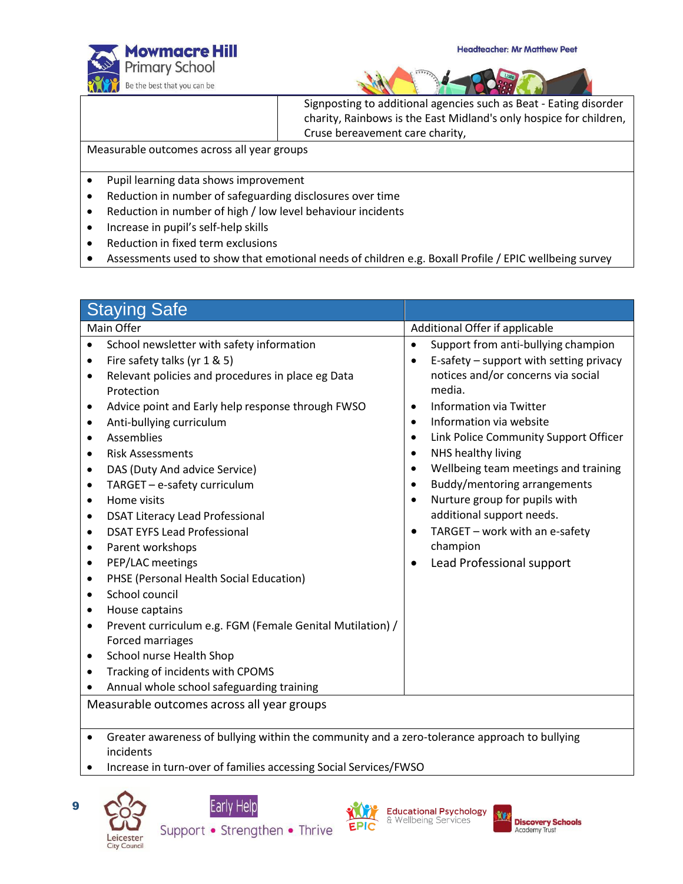



Signposting to additional agencies such as Beat - Eating disorder charity, Rainbows is the East Midland's only hospice for children, Cruse bereavement care charity,

Measurable outcomes across all year groups

- Pupil learning data shows improvement
- Reduction in number of safeguarding disclosures over time
- Reduction in number of high / low level behaviour incidents
- Increase in pupil's self-help skills
- Reduction in fixed term exclusions
- Assessments used to show that emotional needs of children e.g. Boxall Profile / EPIC wellbeing survey

| <b>Staying Safe</b>                                                                                                                                                                                                                                                                                                                                                                                                                                                                                                                                                                                                                                                                                                                                                                                                                                                                                                                                                                                                                                                                |                                                                                                                                                                                                                                                                                                                                                                                                                                                                                                                                                                                                               |  |  |
|------------------------------------------------------------------------------------------------------------------------------------------------------------------------------------------------------------------------------------------------------------------------------------------------------------------------------------------------------------------------------------------------------------------------------------------------------------------------------------------------------------------------------------------------------------------------------------------------------------------------------------------------------------------------------------------------------------------------------------------------------------------------------------------------------------------------------------------------------------------------------------------------------------------------------------------------------------------------------------------------------------------------------------------------------------------------------------|---------------------------------------------------------------------------------------------------------------------------------------------------------------------------------------------------------------------------------------------------------------------------------------------------------------------------------------------------------------------------------------------------------------------------------------------------------------------------------------------------------------------------------------------------------------------------------------------------------------|--|--|
| Main Offer                                                                                                                                                                                                                                                                                                                                                                                                                                                                                                                                                                                                                                                                                                                                                                                                                                                                                                                                                                                                                                                                         | Additional Offer if applicable                                                                                                                                                                                                                                                                                                                                                                                                                                                                                                                                                                                |  |  |
| School newsletter with safety information<br>$\bullet$<br>Fire safety talks (yr 1 & 5)<br>$\bullet$<br>Relevant policies and procedures in place eg Data<br>$\bullet$<br>Protection<br>Advice point and Early help response through FWSO<br>$\bullet$<br>Anti-bullying curriculum<br>$\bullet$<br>Assemblies<br>$\bullet$<br><b>Risk Assessments</b><br>$\bullet$<br>DAS (Duty And advice Service)<br>$\bullet$<br>TARGET - e-safety curriculum<br>$\bullet$<br>Home visits<br>$\bullet$<br><b>DSAT Literacy Lead Professional</b><br>٠<br><b>DSAT EYFS Lead Professional</b><br>$\bullet$<br>Parent workshops<br>$\bullet$<br>PEP/LAC meetings<br>$\bullet$<br>PHSE (Personal Health Social Education)<br>$\bullet$<br>School council<br>$\bullet$<br>House captains<br>$\bullet$<br>Prevent curriculum e.g. FGM (Female Genital Mutilation) /<br>$\bullet$<br>Forced marriages<br>School nurse Health Shop<br>$\bullet$<br>Tracking of incidents with CPOMS<br>$\bullet$<br>Annual whole school safeguarding training<br>$\bullet$<br>Measurable outcomes across all year groups | Support from anti-bullying champion<br>$\bullet$<br>E-safety - support with setting privacy<br>$\bullet$<br>notices and/or concerns via social<br>media.<br><b>Information via Twitter</b><br>$\bullet$<br>Information via website<br>$\bullet$<br>Link Police Community Support Officer<br>$\bullet$<br>NHS healthy living<br>$\bullet$<br>Wellbeing team meetings and training<br>$\bullet$<br>Buddy/mentoring arrangements<br>$\bullet$<br>Nurture group for pupils with<br>$\bullet$<br>additional support needs.<br>TARGET - work with an e-safety<br>$\bullet$<br>champion<br>Lead Professional support |  |  |
|                                                                                                                                                                                                                                                                                                                                                                                                                                                                                                                                                                                                                                                                                                                                                                                                                                                                                                                                                                                                                                                                                    |                                                                                                                                                                                                                                                                                                                                                                                                                                                                                                                                                                                                               |  |  |
| Greater awareness of bullying within the community and a zero-tolerance approach to bullying<br>$\bullet$<br>incidents<br>Increase in turn-over of families accessing Social Services/FWSO                                                                                                                                                                                                                                                                                                                                                                                                                                                                                                                                                                                                                                                                                                                                                                                                                                                                                         |                                                                                                                                                                                                                                                                                                                                                                                                                                                                                                                                                                                                               |  |  |







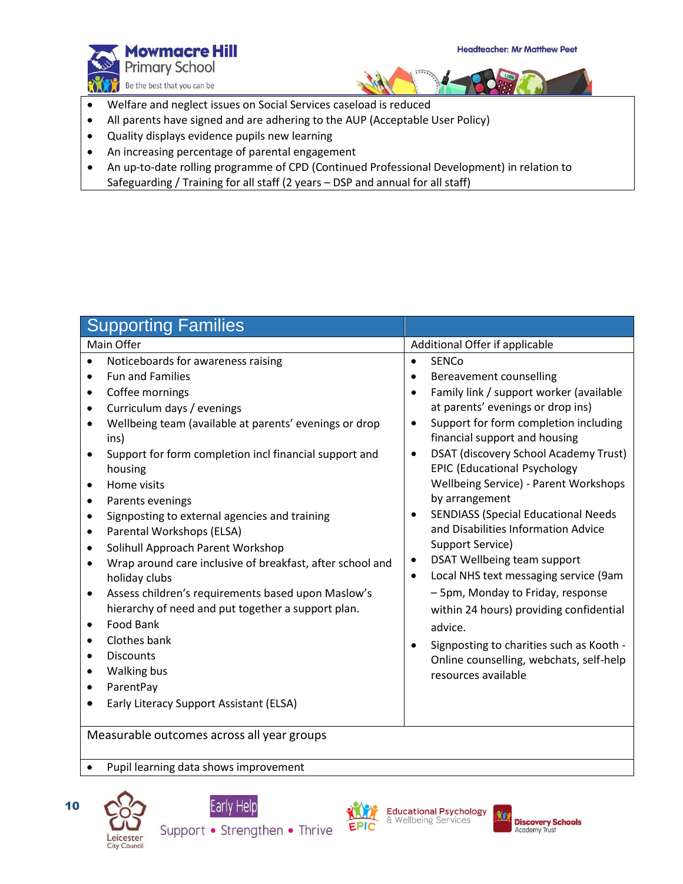



- Welfare and neglect issues on Social Services caseload is reduced
- All parents have signed and are adhering to the AUP (Acceptable User Policy)
- Quality displays evidence pupils new learning
- An increasing percentage of parental engagement
- An up-to-date rolling programme of CPD (Continued Professional Development) in relation to Safeguarding / Training for all staff (2 years – DSP and annual for all staff)

| <b>Supporting Families</b>                                                                                                                                                                                                                                                                                                                                                                                                                                                                                                                                                                                                                                                                                                                                                                                                                                                                                                                    |                                                                                                                                                                                                                                                                                                                                                                                                                                                                                                                                                                                                                                                                                                                                                                                                                                                 |  |
|-----------------------------------------------------------------------------------------------------------------------------------------------------------------------------------------------------------------------------------------------------------------------------------------------------------------------------------------------------------------------------------------------------------------------------------------------------------------------------------------------------------------------------------------------------------------------------------------------------------------------------------------------------------------------------------------------------------------------------------------------------------------------------------------------------------------------------------------------------------------------------------------------------------------------------------------------|-------------------------------------------------------------------------------------------------------------------------------------------------------------------------------------------------------------------------------------------------------------------------------------------------------------------------------------------------------------------------------------------------------------------------------------------------------------------------------------------------------------------------------------------------------------------------------------------------------------------------------------------------------------------------------------------------------------------------------------------------------------------------------------------------------------------------------------------------|--|
| Main Offer                                                                                                                                                                                                                                                                                                                                                                                                                                                                                                                                                                                                                                                                                                                                                                                                                                                                                                                                    | Additional Offer if applicable                                                                                                                                                                                                                                                                                                                                                                                                                                                                                                                                                                                                                                                                                                                                                                                                                  |  |
| Noticeboards for awareness raising<br>$\bullet$<br><b>Fun and Families</b><br>$\bullet$<br>Coffee mornings<br>$\bullet$<br>Curriculum days / evenings<br>$\bullet$<br>Wellbeing team (available at parents' evenings or drop<br>$\bullet$<br>ins)<br>Support for form completion incl financial support and<br>$\bullet$<br>housing<br>Home visits<br>$\bullet$<br>Parents evenings<br>Signposting to external agencies and training<br>Parental Workshops (ELSA)<br>$\bullet$<br>Solihull Approach Parent Workshop<br>$\bullet$<br>Wrap around care inclusive of breakfast, after school and<br>$\bullet$<br>holiday clubs<br>Assess children's requirements based upon Maslow's<br>$\bullet$<br>hierarchy of need and put together a support plan.<br>Food Bank<br>$\bullet$<br>Clothes bank<br>$\bullet$<br><b>Discounts</b><br>$\bullet$<br>Walking bus<br>$\bullet$<br>ParentPay<br>$\bullet$<br>Early Literacy Support Assistant (ELSA) | <b>SENCo</b><br>$\bullet$<br>Bereavement counselling<br>$\bullet$<br>Family link / support worker (available<br>$\bullet$<br>at parents' evenings or drop ins)<br>Support for form completion including<br>$\bullet$<br>financial support and housing<br><b>DSAT (discovery School Academy Trust)</b><br>$\bullet$<br><b>EPIC (Educational Psychology</b><br><b>Wellbeing Service) - Parent Workshops</b><br>by arrangement<br><b>SENDIASS (Special Educational Needs</b><br>and Disabilities Information Advice<br>Support Service)<br>DSAT Wellbeing team support<br>$\bullet$<br>Local NHS text messaging service (9am<br>$\bullet$<br>- 5pm, Monday to Friday, response<br>within 24 hours) providing confidential<br>advice.<br>Signposting to charities such as Kooth -<br>Online counselling, webchats, self-help<br>resources available |  |
| Measurable outcomes across all year groups                                                                                                                                                                                                                                                                                                                                                                                                                                                                                                                                                                                                                                                                                                                                                                                                                                                                                                    |                                                                                                                                                                                                                                                                                                                                                                                                                                                                                                                                                                                                                                                                                                                                                                                                                                                 |  |
| Pupil learning data shows improvement                                                                                                                                                                                                                                                                                                                                                                                                                                                                                                                                                                                                                                                                                                                                                                                                                                                                                                         |                                                                                                                                                                                                                                                                                                                                                                                                                                                                                                                                                                                                                                                                                                                                                                                                                                                 |  |



10





**Educational Psychology** & Wellbeing Services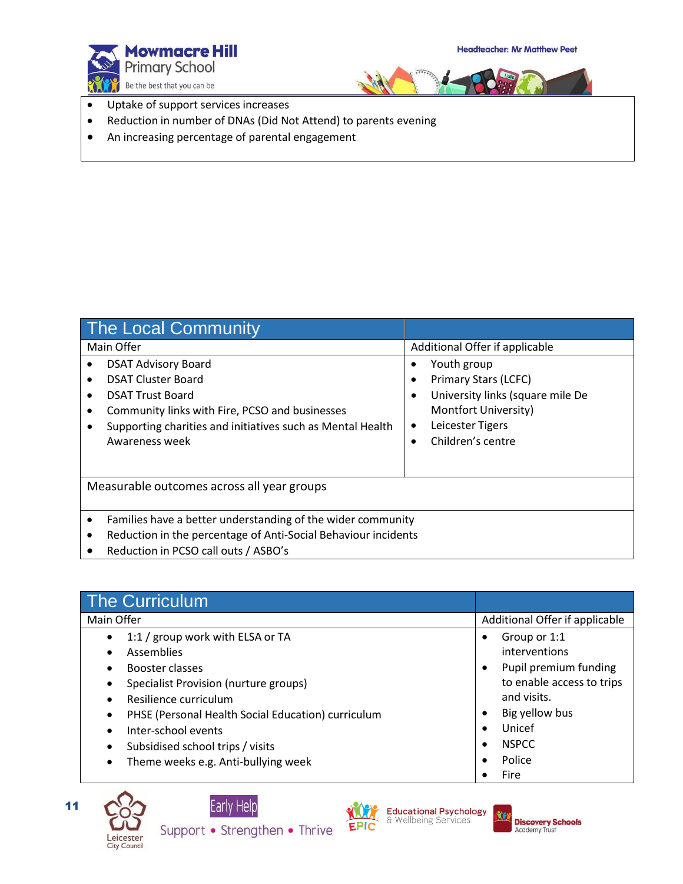



- Uptake of support services increases
- Reduction in number of DNAs (Did Not Attend) to parents evening
- An increasing percentage of parental engagement

Early Help

Support • Strengthen • Thrive

| <b>The Local Community</b>                                                                                                                                                                                                |                                                                                                                                          |  |
|---------------------------------------------------------------------------------------------------------------------------------------------------------------------------------------------------------------------------|------------------------------------------------------------------------------------------------------------------------------------------|--|
| Main Offer                                                                                                                                                                                                                | Additional Offer if applicable                                                                                                           |  |
| <b>DSAT Advisory Board</b><br><b>DSAT Cluster Board</b><br><b>DSAT Trust Board</b><br>٠<br>Community links with Fire, PCSO and businesses<br>Supporting charities and initiatives such as Mental Health<br>Awareness week | Youth group<br>Primary Stars (LCFC)<br>University links (square mile De<br>Montfort University)<br>Leicester Tigers<br>Children's centre |  |
| Measurable outcomes across all year groups                                                                                                                                                                                |                                                                                                                                          |  |
| Families have a better understanding of the wider community<br>$\bullet$<br>Reduction in the percentage of Anti-Social Behaviour incidents<br>$\bullet$<br>Reduction in PCSO call outs / ASBO's                           |                                                                                                                                          |  |

| <b>The Curriculum</b>                                                                                                                                                                                                                                                                                                                                                          |                                                                                                                                                                  |
|--------------------------------------------------------------------------------------------------------------------------------------------------------------------------------------------------------------------------------------------------------------------------------------------------------------------------------------------------------------------------------|------------------------------------------------------------------------------------------------------------------------------------------------------------------|
| Main Offer                                                                                                                                                                                                                                                                                                                                                                     | Additional Offer if applicable                                                                                                                                   |
| 1:1 / group work with ELSA or TA<br>$\bullet$<br>Assemblies<br>Booster classes<br>Specialist Provision (nurture groups)<br>$\bullet$<br>Resilience curriculum<br>$\bullet$<br>PHSE (Personal Health Social Education) curriculum<br>$\bullet$<br>Inter-school events<br>$\bullet$<br>Subsidised school trips / visits<br>٠<br>Theme weeks e.g. Anti-bullying week<br>$\bullet$ | Group or 1:1<br>interventions<br>Pupil premium funding<br>to enable access to trips<br>and visits.<br>Big yellow bus<br>Unicef<br><b>NSPCC</b><br>Police<br>Fire |

**EPIC** 

Educational Psychology<br>& Wellbeing Services

**YOU** 

**Discovery Schools**<br>Academy Trust

11

Leicester<br>City Council